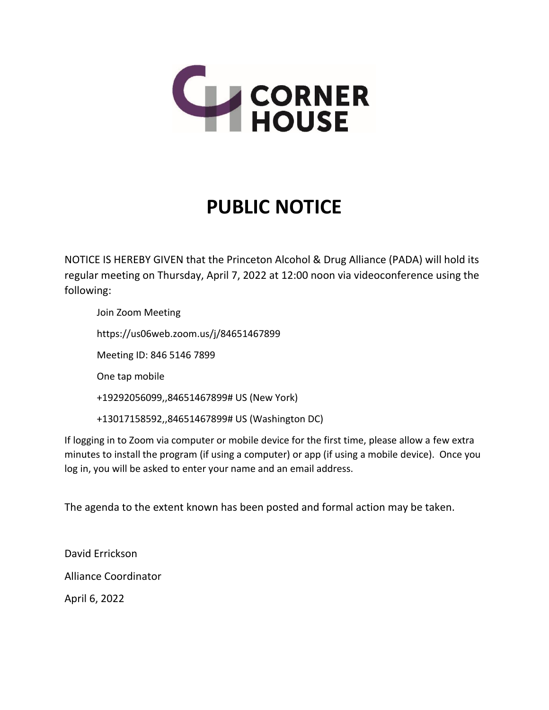

## **PUBLIC NOTICE**

NOTICE IS HEREBY GIVEN that the Princeton Alcohol & Drug Alliance (PADA) will hold its regular meeting on Thursday, April 7, 2022 at 12:00 noon via videoconference using the following:

Join Zoom Meeting https://us06web.zoom.us/j/84651467899 Meeting ID: 846 5146 7899 One tap mobile +19292056099,,84651467899# US (New York) +13017158592,,84651467899# US (Washington DC)

If logging in to Zoom via computer or mobile device for the first time, please allow a few extra minutes to install the program (if using a computer) or app (if using a mobile device). Once you log in, you will be asked to enter your name and an email address.

The agenda to the extent known has been posted and formal action may be taken.

David Errickson Alliance Coordinator April 6, 2022